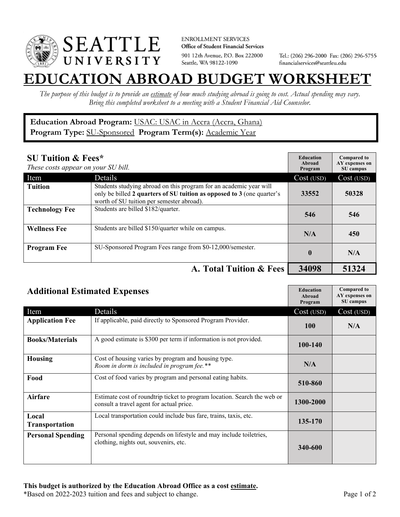

**ENROLLMENT SERVICES** Office of Student Financial Services 901 12th Avenue, P.O. Box 222000 Seattle, WA 98122-1090

Tel.: (206) 296-2000 Fax: (206) 296-5755 financialservices@seattleu.edu

## **EATION ABROAD BUDGET WORKSHEE**

*The purpose of this budget is to provide an estimate of how much studying abroad is going to cost. Actual spending may vary. Bring this completed worksheet to a meeting with a Student Financial Aid Counselor.* 

## **Education Abroad Program:** USAC: USAC in Accra (Accra, Ghana) Program Type: **SU-Sponsored** Program Term(s): Academic Year

| <b>SU Tuition &amp; Fees*</b><br>These costs appear on your SU bill. |                                                                                                                                                                                           | <b>Education</b><br>Abroad<br>Program | <b>Compared to</b><br>AY expenses on<br>SU campus |
|----------------------------------------------------------------------|-------------------------------------------------------------------------------------------------------------------------------------------------------------------------------------------|---------------------------------------|---------------------------------------------------|
| Item                                                                 | Details                                                                                                                                                                                   | Cost (USD)                            | Cost (USD)                                        |
| <b>Tuition</b>                                                       | Students studying abroad on this program for an academic year will<br>only be billed 2 quarters of SU tuition as opposed to 3 (one quarter's<br>worth of SU tuition per semester abroad). | 33552                                 | 50328                                             |
| <b>Technology Fee</b>                                                | Students are billed \$182/quarter.                                                                                                                                                        | 546                                   | 546                                               |
| <b>Wellness Fee</b>                                                  | Students are billed \$150/quarter while on campus.                                                                                                                                        | N/A                                   | 450                                               |
| <b>Program Fee</b>                                                   | SU-Sponsored Program Fees range from \$0-12,000/semester.                                                                                                                                 | $\mathbf{0}$                          | N/A                                               |
|                                                                      | A. Total Tuition & Fees                                                                                                                                                                   | 34098                                 | 51324                                             |

| <b>Additional Estimated Expenses</b> |                                                                                                                      | <b>Education</b><br>Abroad<br>Program | <b>Compared to</b><br>AY expenses on<br>SU campus |
|--------------------------------------|----------------------------------------------------------------------------------------------------------------------|---------------------------------------|---------------------------------------------------|
| Item                                 | Details                                                                                                              | Cost (USD)                            | Cost (USD)                                        |
| <b>Application Fee</b>               | If applicable, paid directly to Sponsored Program Provider.                                                          | <b>100</b>                            | N/A                                               |
| <b>Books/Materials</b>               | A good estimate is \$300 per term if information is not provided.                                                    | 100-140                               |                                                   |
| <b>Housing</b>                       | Cost of housing varies by program and housing type.<br>Room in dorm is included in program fee.**                    | N/A                                   |                                                   |
| Food                                 | Cost of food varies by program and personal eating habits.                                                           | 510-860                               |                                                   |
| <b>Airfare</b>                       | Estimate cost of roundtrip ticket to program location. Search the web or<br>consult a travel agent for actual price. | 1300-2000                             |                                                   |
| Local<br><b>Transportation</b>       | Local transportation could include bus fare, trains, taxis, etc.                                                     | 135-170                               |                                                   |
| <b>Personal Spending</b>             | Personal spending depends on lifestyle and may include toiletries,<br>clothing, nights out, souvenirs, etc.          | 340-600                               |                                                   |